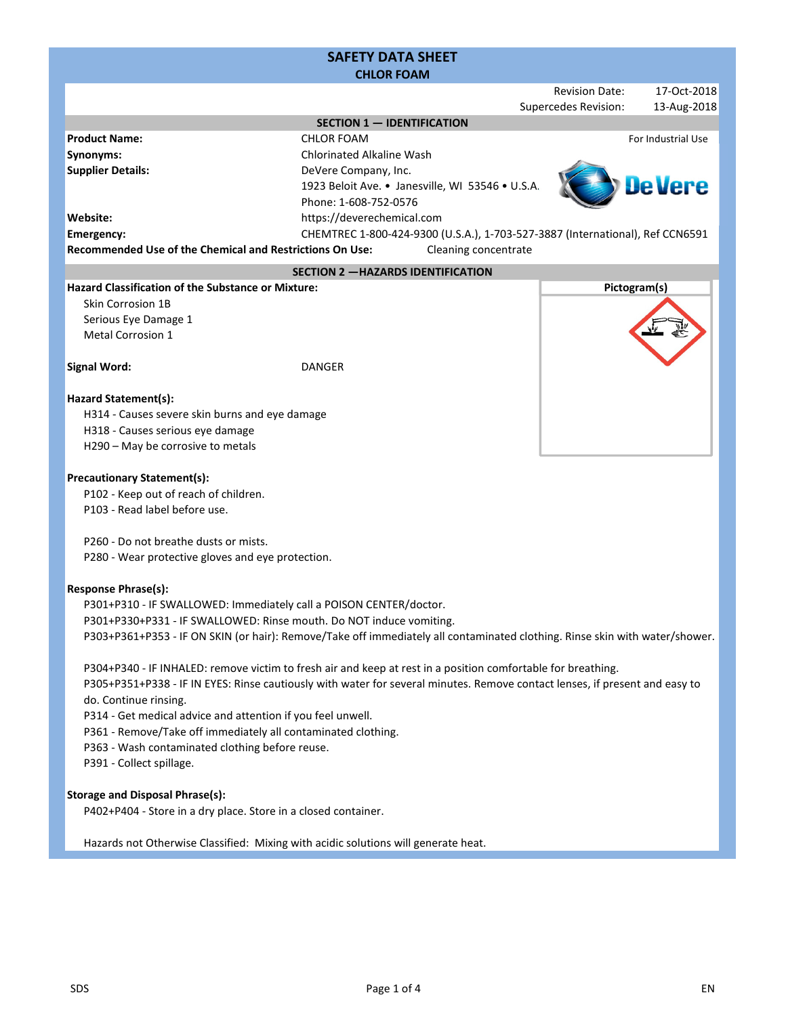# SAFETY DATA SHEET CHLOR FOAM

|                                                                                                                                           |                                                                                                                             |  | <b>Revision Date:</b>       |              | 17-Oct-2018        |
|-------------------------------------------------------------------------------------------------------------------------------------------|-----------------------------------------------------------------------------------------------------------------------------|--|-----------------------------|--------------|--------------------|
|                                                                                                                                           |                                                                                                                             |  | <b>Supercedes Revision:</b> |              | 13-Aug-2018        |
|                                                                                                                                           | <b>SECTION 1 - IDENTIFICATION</b>                                                                                           |  |                             |              |                    |
| <b>Product Name:</b>                                                                                                                      | <b>CHLOR FOAM</b>                                                                                                           |  |                             |              | For Industrial Use |
| Synonyms:                                                                                                                                 | <b>Chlorinated Alkaline Wash</b>                                                                                            |  |                             |              |                    |
| <b>Supplier Details:</b>                                                                                                                  | DeVere Company, Inc.<br>1923 Beloit Ave. . Janesville, WI 53546 . U.S.A.                                                    |  |                             |              |                    |
|                                                                                                                                           | Phone: 1-608-752-0576                                                                                                       |  |                             |              |                    |
| Website:                                                                                                                                  | https://deverechemical.com                                                                                                  |  |                             |              |                    |
| Emergency:                                                                                                                                | CHEMTREC 1-800-424-9300 (U.S.A.), 1-703-527-3887 (International), Ref CCN6591                                               |  |                             |              |                    |
| <b>Recommended Use of the Chemical and Restrictions On Use:</b>                                                                           | Cleaning concentrate                                                                                                        |  |                             |              |                    |
|                                                                                                                                           | <b>SECTION 2 - HAZARDS IDENTIFICATION</b>                                                                                   |  |                             |              |                    |
| <b>Hazard Classification of the Substance or Mixture:</b>                                                                                 |                                                                                                                             |  |                             | Pictogram(s) |                    |
| Skin Corrosion 1B                                                                                                                         |                                                                                                                             |  |                             |              |                    |
| Serious Eye Damage 1                                                                                                                      |                                                                                                                             |  |                             |              |                    |
| <b>Metal Corrosion 1</b>                                                                                                                  |                                                                                                                             |  |                             |              |                    |
|                                                                                                                                           |                                                                                                                             |  |                             |              |                    |
| <b>Signal Word:</b>                                                                                                                       | <b>DANGER</b>                                                                                                               |  |                             |              |                    |
|                                                                                                                                           |                                                                                                                             |  |                             |              |                    |
| Hazard Statement(s):                                                                                                                      |                                                                                                                             |  |                             |              |                    |
| H314 - Causes severe skin burns and eye damage<br>H318 - Causes serious eye damage                                                        |                                                                                                                             |  |                             |              |                    |
| H290 - May be corrosive to metals                                                                                                         |                                                                                                                             |  |                             |              |                    |
|                                                                                                                                           |                                                                                                                             |  |                             |              |                    |
| <b>Precautionary Statement(s):</b>                                                                                                        |                                                                                                                             |  |                             |              |                    |
| P102 - Keep out of reach of children.                                                                                                     |                                                                                                                             |  |                             |              |                    |
| P103 - Read label before use.                                                                                                             |                                                                                                                             |  |                             |              |                    |
|                                                                                                                                           |                                                                                                                             |  |                             |              |                    |
| P260 - Do not breathe dusts or mists.                                                                                                     |                                                                                                                             |  |                             |              |                    |
| P280 - Wear protective gloves and eye protection.                                                                                         |                                                                                                                             |  |                             |              |                    |
| <b>Response Phrase(s):</b>                                                                                                                |                                                                                                                             |  |                             |              |                    |
|                                                                                                                                           |                                                                                                                             |  |                             |              |                    |
| P301+P310 - IF SWALLOWED: Immediately call a POISON CENTER/doctor.<br>P301+P330+P331 - IF SWALLOWED: Rinse mouth. Do NOT induce vomiting. |                                                                                                                             |  |                             |              |                    |
|                                                                                                                                           | P303+P361+P353 - IF ON SKIN (or hair): Remove/Take off immediately all contaminated clothing. Rinse skin with water/shower. |  |                             |              |                    |
|                                                                                                                                           |                                                                                                                             |  |                             |              |                    |
| P304+P340 - IF INHALED: remove victim to fresh air and keep at rest in a position comfortable for breathing.                              |                                                                                                                             |  |                             |              |                    |
| P305+P351+P338 - IF IN EYES: Rinse cautiously with water for several minutes. Remove contact lenses, if present and easy to               |                                                                                                                             |  |                             |              |                    |
| do. Continue rinsing.                                                                                                                     |                                                                                                                             |  |                             |              |                    |
| P314 - Get medical advice and attention if you feel unwell.                                                                               |                                                                                                                             |  |                             |              |                    |
| P361 - Remove/Take off immediately all contaminated clothing.                                                                             |                                                                                                                             |  |                             |              |                    |
| P363 - Wash contaminated clothing before reuse.                                                                                           |                                                                                                                             |  |                             |              |                    |
| P391 - Collect spillage.                                                                                                                  |                                                                                                                             |  |                             |              |                    |
|                                                                                                                                           |                                                                                                                             |  |                             |              |                    |
| <b>Storage and Disposal Phrase(s):</b><br>P402+P404 - Store in a dry place. Store in a closed container.                                  |                                                                                                                             |  |                             |              |                    |
|                                                                                                                                           |                                                                                                                             |  |                             |              |                    |

Hazards not Otherwise Classified: Mixing with acidic solutions will generate heat.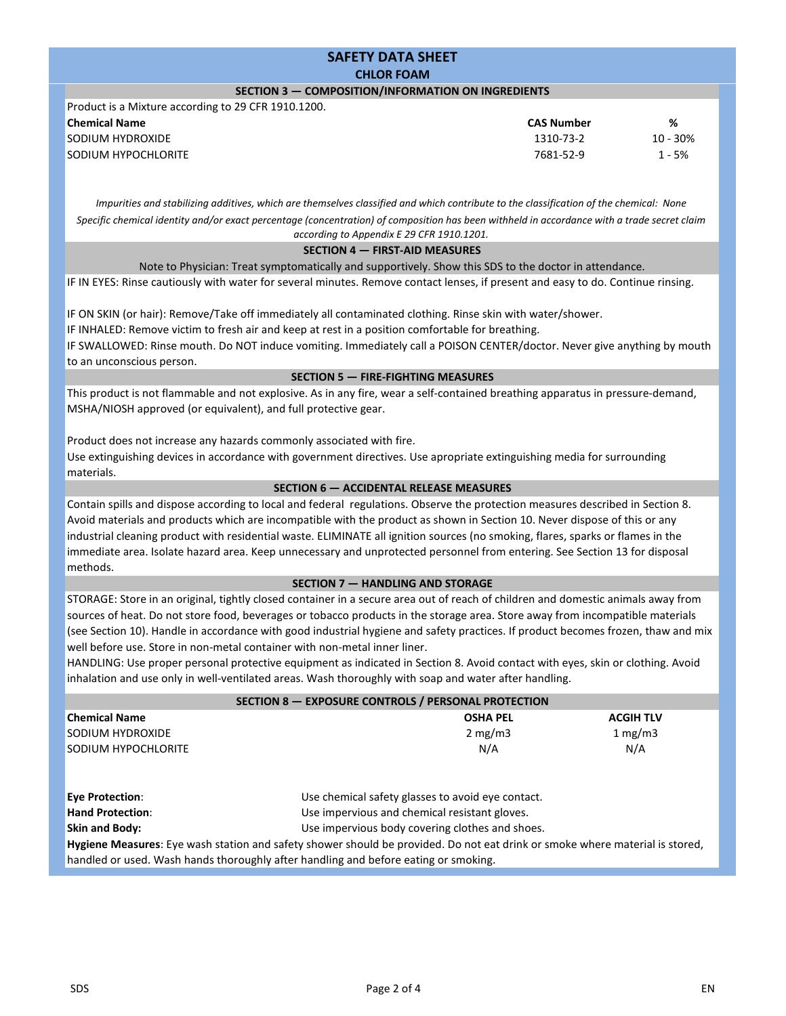# SAFETY DATA SHEET CHLOR FOAM SECTION 3 — COMPOSITION/INFORMATION ON INGREDIENTS

#### Product is a Mixture according to 29 CFR 1910.1200.

| Thought is a mixture according to $25$ cm $1510.1200$ . |                   |            |
|---------------------------------------------------------|-------------------|------------|
| <b>Chemical Name</b>                                    | <b>CAS Number</b> | %          |
| SODIUM HYDROXIDE                                        | 1310-73-2         | $10 - 30%$ |
| SODIUM HYPOCHLORITE                                     | 7681-52-9         | 1 - 5%     |
|                                                         |                   |            |

Impurities and stabilizing additives, which are themselves classified and which contribute to the classification of the chemical: None Specific chemical identity and/or exact percentage (concentration) of composition has been withheld in accordance with a trade secret claim according to Appendix E 29 CFR 1910.1201.

# SECTION 4 — FIRST-AID MEASURES

Note to Physician: Treat symptomatically and supportively. Show this SDS to the doctor in attendance.

IF IN EYES: Rinse cautiously with water for several minutes. Remove contact lenses, if present and easy to do. Continue rinsing.

IF ON SKIN (or hair): Remove/Take off immediately all contaminated clothing. Rinse skin with water/shower.

IF INHALED: Remove victim to fresh air and keep at rest in a position comfortable for breathing.

IF SWALLOWED: Rinse mouth. Do NOT induce vomiting. Immediately call a POISON CENTER/doctor. Never give anything by mouth to an unconscious person.

## SECTION 5 — FIRE-FIGHTING MEASURES

This product is not flammable and not explosive. As in any fire, wear a self-contained breathing apparatus in pressure-demand, MSHA/NIOSH approved (or equivalent), and full protective gear.

Product does not increase any hazards commonly associated with fire.

Use extinguishing devices in accordance with government directives. Use apropriate extinguishing media for surrounding materials.

## SECTION 6 — ACCIDENTAL RELEASE MEASURES

Contain spills and dispose according to local and federal regulations. Observe the protection measures described in Section 8. Avoid materials and products which are incompatible with the product as shown in Section 10. Never dispose of this or any industrial cleaning product with residential waste. ELIMINATE all ignition sources (no smoking, flares, sparks or flames in the immediate area. Isolate hazard area. Keep unnecessary and unprotected personnel from entering. See Section 13 for disposal methods.

### SECTION 7 — HANDLING AND STORAGE

STORAGE: Store in an original, tightly closed container in a secure area out of reach of children and domestic animals away from sources of heat. Do not store food, beverages or tobacco products in the storage area. Store away from incompatible materials (see Section 10). Handle in accordance with good industrial hygiene and safety practices. If product becomes frozen, thaw and mix well before use. Store in non-metal container with non-metal inner liner.

HANDLING: Use proper personal protective equipment as indicated in Section 8. Avoid contact with eyes, skin or clothing. Avoid inhalation and use only in well-ventilated areas. Wash thoroughly with soap and water after handling.

| SECTION 8 - EXPOSURE CONTROLS / PERSONAL PROTECTION |                  |                  |  |  |
|-----------------------------------------------------|------------------|------------------|--|--|
| <b>Chemical Name</b>                                | <b>OSHA PEL</b>  | <b>ACGIH TLV</b> |  |  |
| <b>SODIUM HYDROXIDE</b>                             | $2 \text{ mg/m}$ | 1 mg/m $3$       |  |  |
| <b>SODIUM HYPOCHLORITE</b>                          | N/A              | N/A              |  |  |
|                                                     |                  |                  |  |  |
|                                                     |                  |                  |  |  |

Hygiene Measures: Eye wash station and safety shower should be provided. Do not eat drink or smoke where material is stored, handled or used. Wash hands thoroughly after handling and before eating or smoking. Use chemical safety glasses to avoid eye contact. Use impervious and chemical resistant gloves. Use impervious body covering clothes and shoes. Eye Protection: Hand Protection: Skin and Body: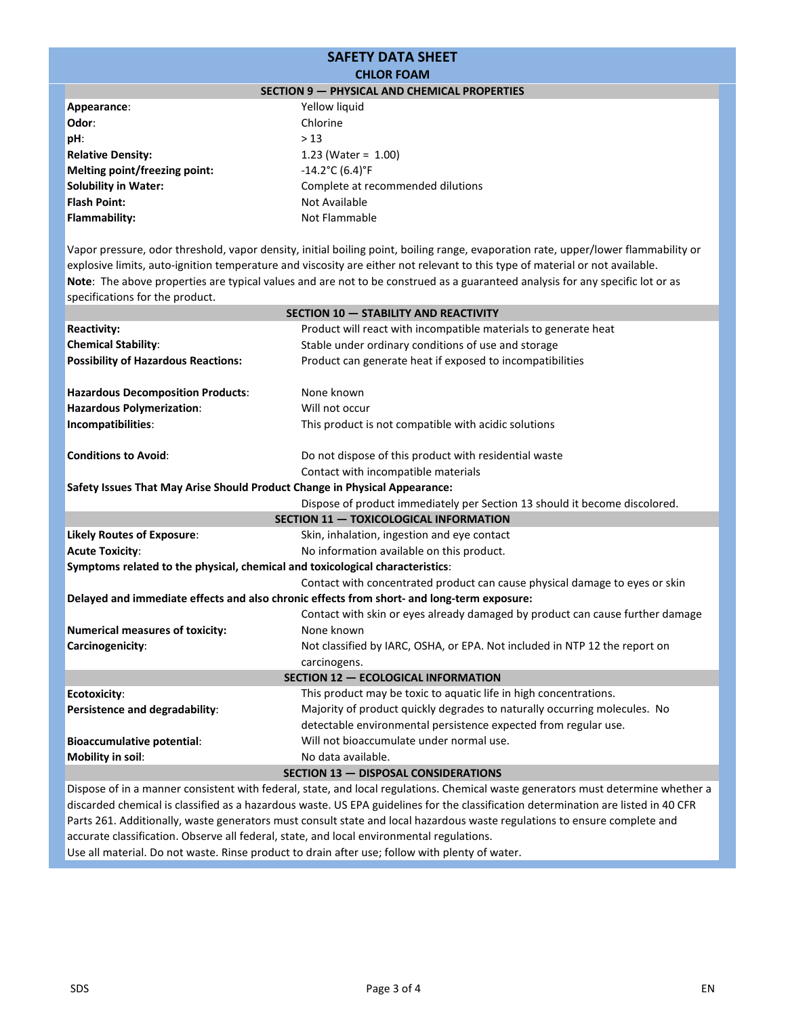#### SAFETY DATA SHEET CHLOR FOAM SECTION 9 — PHYSICAL AND CHEMICAL PROPERTIES Appearance: Odor: Solubility in Water: Flash Point: Flammability: Yellow liquid Chlorine  $> 13$ 1.23 (Water = 1.00) -14.2°C (6.4)°F Complete at recommended dilutions Not Available Not Flammable pH: Relative Density: Melting point/freezing point:

Note: The above properties are typical values and are not to be construed as a guaranteed analysis for any specific lot or as specifications for the product. Vapor pressure, odor threshold, vapor density, initial boiling point, boiling range, evaporation rate, upper/lower flammability or explosive limits, auto-ignition temperature and viscosity are either not relevant to this type of material or not available.

| <b>SECTION 10 - STABILITY AND REACTIVITY</b>                                  |                                                                                            |  |  |  |
|-------------------------------------------------------------------------------|--------------------------------------------------------------------------------------------|--|--|--|
| <b>Reactivity:</b>                                                            | Product will react with incompatible materials to generate heat                            |  |  |  |
| <b>Chemical Stability:</b>                                                    | Stable under ordinary conditions of use and storage                                        |  |  |  |
| <b>Possibility of Hazardous Reactions:</b>                                    | Product can generate heat if exposed to incompatibilities                                  |  |  |  |
|                                                                               |                                                                                            |  |  |  |
| <b>Hazardous Decomposition Products:</b>                                      | None known                                                                                 |  |  |  |
| <b>Hazardous Polymerization:</b>                                              | Will not occur                                                                             |  |  |  |
| Incompatibilities:                                                            | This product is not compatible with acidic solutions                                       |  |  |  |
| <b>Conditions to Avoid:</b>                                                   | Do not dispose of this product with residential waste                                      |  |  |  |
|                                                                               | Contact with incompatible materials                                                        |  |  |  |
| Safety Issues That May Arise Should Product Change in Physical Appearance:    |                                                                                            |  |  |  |
|                                                                               | Dispose of product immediately per Section 13 should it become discolored.                 |  |  |  |
| SECTION 11 - TOXICOLOGICAL INFORMATION                                        |                                                                                            |  |  |  |
| <b>Likely Routes of Exposure:</b>                                             | Skin, inhalation, ingestion and eye contact                                                |  |  |  |
| <b>Acute Toxicity:</b>                                                        | No information available on this product.                                                  |  |  |  |
| Symptoms related to the physical, chemical and toxicological characteristics: |                                                                                            |  |  |  |
|                                                                               | Contact with concentrated product can cause physical damage to eyes or skin                |  |  |  |
|                                                                               | Delayed and immediate effects and also chronic effects from short- and long-term exposure: |  |  |  |
|                                                                               | Contact with skin or eyes already damaged by product can cause further damage              |  |  |  |
| <b>Numerical measures of toxicity:</b>                                        | None known                                                                                 |  |  |  |
| Carcinogenicity:                                                              | Not classified by IARC, OSHA, or EPA. Not included in NTP 12 the report on                 |  |  |  |
|                                                                               | carcinogens.                                                                               |  |  |  |
| SECTION 12 - ECOLOGICAL INFORMATION                                           |                                                                                            |  |  |  |
| <b>Ecotoxicity:</b>                                                           | This product may be toxic to aquatic life in high concentrations.                          |  |  |  |
| Persistence and degradability:                                                | Majority of product quickly degrades to naturally occurring molecules. No                  |  |  |  |
|                                                                               | detectable environmental persistence expected from regular use.                            |  |  |  |
| <b>Bioaccumulative potential:</b>                                             | Will not bioaccumulate under normal use.                                                   |  |  |  |
| Mobility in soil:                                                             | No data available.                                                                         |  |  |  |
| <b>SECTION 13 - DISPOSAL CONSIDERATIONS</b>                                   |                                                                                            |  |  |  |
|                                                                               |                                                                                            |  |  |  |

Dispose of in a manner consistent with federal, state, and local regulations. Chemical waste generators must determine whether a discarded chemical is classified as a hazardous waste. US EPA guidelines for the classification determination are listed in 40 CFR Parts 261. Additionally, waste generators must consult state and local hazardous waste regulations to ensure complete and accurate classification. Observe all federal, state, and local environmental regulations.

Use all material. Do not waste. Rinse product to drain after use; follow with plenty of water.